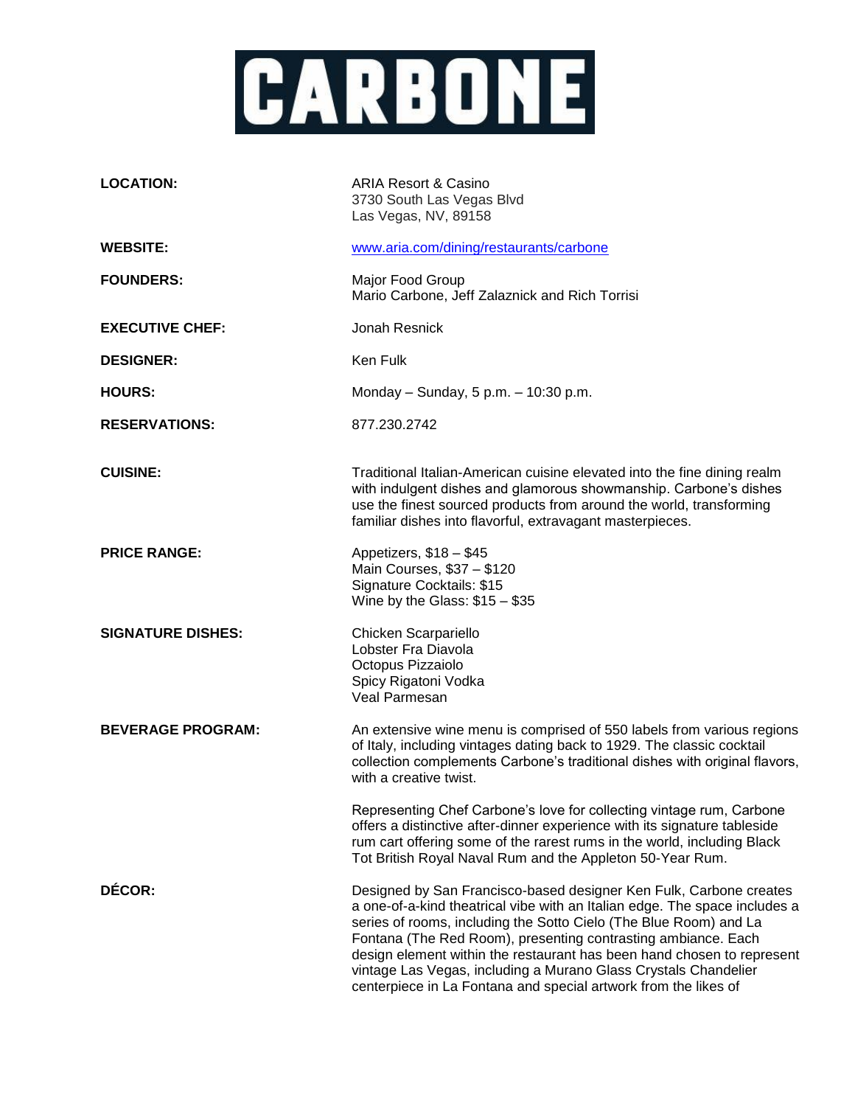

| <b>LOCATION:</b>         | <b>ARIA Resort &amp; Casino</b><br>3730 South Las Vegas Blvd<br>Las Vegas, NV, 89158                                                                                                                                                                                                                                                                                                                                                                                                                   |
|--------------------------|--------------------------------------------------------------------------------------------------------------------------------------------------------------------------------------------------------------------------------------------------------------------------------------------------------------------------------------------------------------------------------------------------------------------------------------------------------------------------------------------------------|
| <b>WEBSITE:</b>          | www.aria.com/dining/restaurants/carbone                                                                                                                                                                                                                                                                                                                                                                                                                                                                |
| <b>FOUNDERS:</b>         | Major Food Group<br>Mario Carbone, Jeff Zalaznick and Rich Torrisi                                                                                                                                                                                                                                                                                                                                                                                                                                     |
| <b>EXECUTIVE CHEF:</b>   | Jonah Resnick                                                                                                                                                                                                                                                                                                                                                                                                                                                                                          |
| <b>DESIGNER:</b>         | Ken Fulk                                                                                                                                                                                                                                                                                                                                                                                                                                                                                               |
| <b>HOURS:</b>            | Monday - Sunday, 5 p.m. - 10:30 p.m.                                                                                                                                                                                                                                                                                                                                                                                                                                                                   |
| <b>RESERVATIONS:</b>     | 877.230.2742                                                                                                                                                                                                                                                                                                                                                                                                                                                                                           |
| <b>CUISINE:</b>          | Traditional Italian-American cuisine elevated into the fine dining realm<br>with indulgent dishes and glamorous showmanship. Carbone's dishes<br>use the finest sourced products from around the world, transforming<br>familiar dishes into flavorful, extravagant masterpieces.                                                                                                                                                                                                                      |
| <b>PRICE RANGE:</b>      | Appetizers, \$18 - \$45<br>Main Courses, \$37 - \$120<br>Signature Cocktails: \$15<br>Wine by the Glass: $$15 - $35$                                                                                                                                                                                                                                                                                                                                                                                   |
| <b>SIGNATURE DISHES:</b> | Chicken Scarpariello<br>Lobster Fra Diavola<br>Octopus Pizzaiolo<br>Spicy Rigatoni Vodka<br>Veal Parmesan                                                                                                                                                                                                                                                                                                                                                                                              |
| <b>BEVERAGE PROGRAM:</b> | An extensive wine menu is comprised of 550 labels from various regions<br>of Italy, including vintages dating back to 1929. The classic cocktail<br>collection complements Carbone's traditional dishes with original flavors,<br>with a creative twist.                                                                                                                                                                                                                                               |
|                          | Representing Chef Carbone's love for collecting vintage rum, Carbone<br>offers a distinctive after-dinner experience with its signature tableside<br>rum cart offering some of the rarest rums in the world, including Black<br>Tot British Royal Naval Rum and the Appleton 50-Year Rum.                                                                                                                                                                                                              |
| DÉCOR:                   | Designed by San Francisco-based designer Ken Fulk, Carbone creates<br>a one-of-a-kind theatrical vibe with an Italian edge. The space includes a<br>series of rooms, including the Sotto Cielo (The Blue Room) and La<br>Fontana (The Red Room), presenting contrasting ambiance. Each<br>design element within the restaurant has been hand chosen to represent<br>vintage Las Vegas, including a Murano Glass Crystals Chandelier<br>centerpiece in La Fontana and special artwork from the likes of |